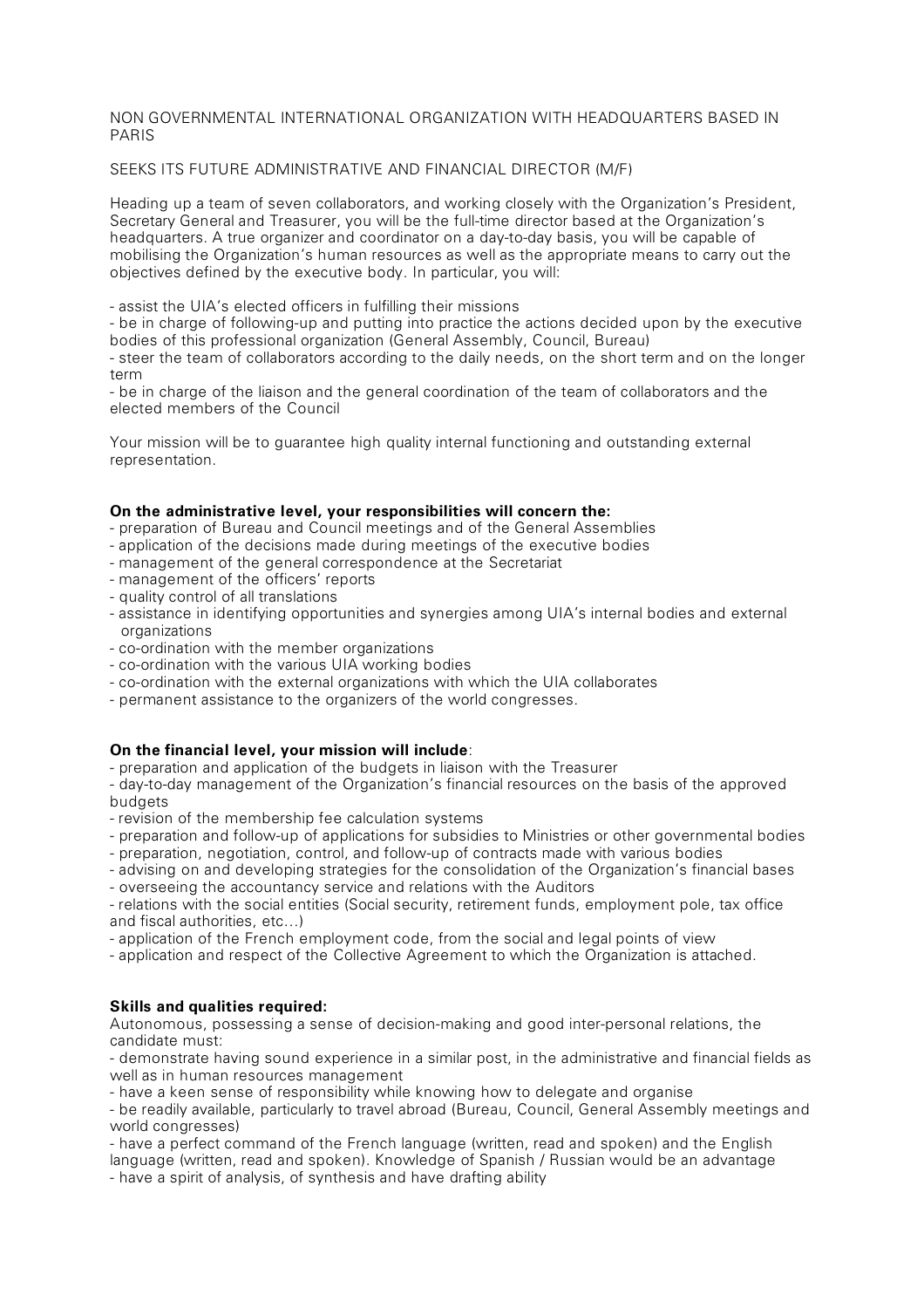## NON GOVERNMENTAL INTERNATIONAL ORGANIZATION WITH HEADQUARTERS BASED IN PARIS

# SEEKS ITS FUTURE ADMINISTRATIVE AND FINANCIAL DIRECTOR (M/F)

Heading up a team of seven collaborators, and working closely with the Organization's President, Secretary General and Treasurer, you will be the full-time director based at the Organization's headquarters. A true organizer and coordinator on a day-to-day basis, you will be capable of mobilising the Organization's human resources as well as the appropriate means to carry out the objectives defined by the executive body. In particular, you will:

- assist the UIA's elected officers in fulfilling their missions

- be in charge of following-up and putting into practice the actions decided upon by the executive bodies of this professional organization (General Assembly, Council, Bureau)

- steer the team of collaborators according to the daily needs, on the short term and on the longer term

- be in charge of the liaison and the general coordination of the team of collaborators and the elected members of the Council

Your mission will be to guarantee high quality internal functioning and outstanding external representation.

## **On the administrative level, your responsibilities will concern the:**

- preparation of Bureau and Council meetings and of the General Assemblies
- application of the decisions made during meetings of the executive bodies
- management of the general correspondence at the Secretariat
- management of the officers' reports
- quality control of all translations
- assistance in identifying opportunities and synergies among UIA's internal bodies and external organizations
- co-ordination with the member organizations
- co-ordination with the various UIA working bodies
- co-ordination with the external organizations with which the UIA collaborates
- permanent assistance to the organizers of the world congresses.

## **On the financial level, your mission will include**:

- preparation and application of the budgets in liaison with the Treasurer

- day-to-day management of the Organization's financial resources on the basis of the approved budgets

- revision of the membership fee calculation systems
- preparation and follow-up of applications for subsidies to Ministries or other governmental bodies
- preparation, negotiation, control, and follow-up of contracts made with various bodies
- advising on and developing strategies for the consolidation of the Organization's financial bases
- overseeing the accountancy service and relations with the Auditors

- relations with the social entities (Social security, retirement funds, employment pole, tax office and fiscal authorities, etc…)

- application of the French employment code, from the social and legal points of view
- application and respect of the Collective Agreement to which the Organization is attached.

## **Skills and qualities required:**

Autonomous, possessing a sense of decision-making and good inter-personal relations, the candidate must:

- demonstrate having sound experience in a similar post, in the administrative and financial fields as well as in human resources management

- have a keen sense of responsibility while knowing how to delegate and organise

- be readily available, particularly to travel abroad (Bureau, Council, General Assembly meetings and world congresses)

- have a perfect command of the French language (written, read and spoken) and the English language (written, read and spoken). Knowledge of Spanish / Russian would be an advantage

- have a spirit of analysis, of synthesis and have drafting ability